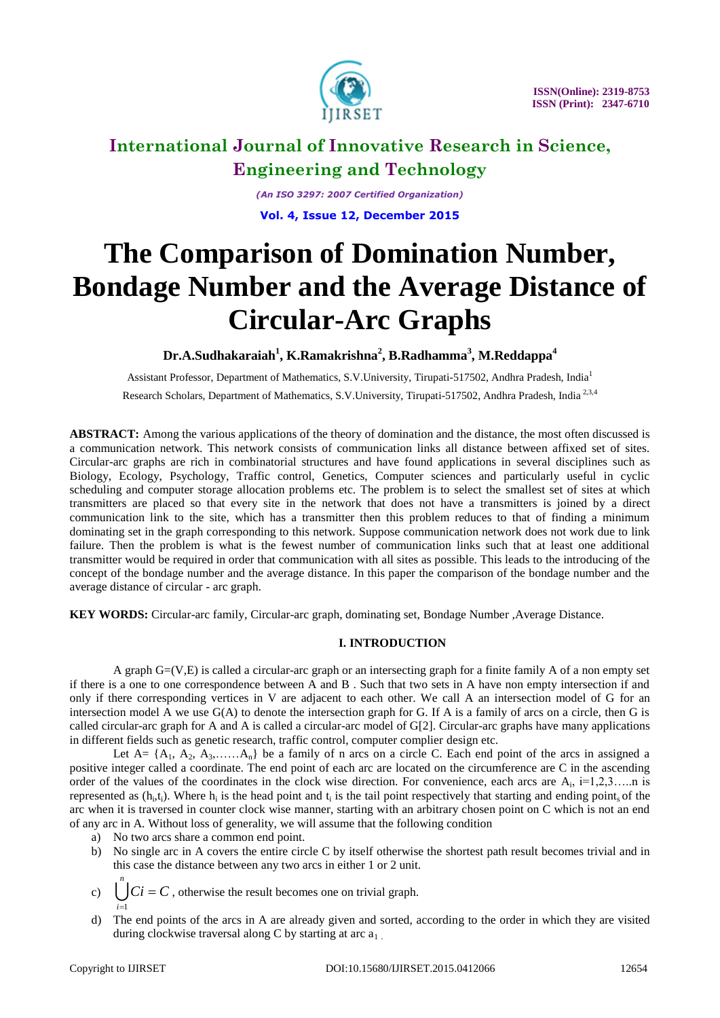

*(An ISO 3297: 2007 Certified Organization)* **Vol. 4, Issue 12, December 2015**

# **The Comparison of Domination Number, Bondage Number and the Average Distance of Circular-Arc Graphs**

**Dr.A.Sudhakaraiah<sup>1</sup> , K.Ramakrishna<sup>2</sup> , B.Radhamma<sup>3</sup> , M.Reddappa<sup>4</sup>**

Assistant Professor, Department of Mathematics, S.V.University, Tirupati-517502, Andhra Pradesh, India<sup>1</sup>

Research Scholars, Department of Mathematics, S.V.University, Tirupati-517502, Andhra Pradesh, India<sup>2,3,4</sup>

**ABSTRACT:** Among the various applications of the theory of domination and the distance, the most often discussed is a communication network. This network consists of communication links all distance between affixed set of sites. Circular-arc graphs are rich in combinatorial structures and have found applications in several disciplines such as Biology, Ecology, Psychology, Traffic control, Genetics, Computer sciences and particularly useful in cyclic scheduling and computer storage allocation problems etc. The problem is to select the smallest set of sites at which transmitters are placed so that every site in the network that does not have a transmitters is joined by a direct communication link to the site, which has a transmitter then this problem reduces to that of finding a minimum dominating set in the graph corresponding to this network. Suppose communication network does not work due to link failure. Then the problem is what is the fewest number of communication links such that at least one additional transmitter would be required in order that communication with all sites as possible. This leads to the introducing of the concept of the bondage number and the average distance. In this paper the comparison of the bondage number and the average distance of circular - arc graph.

**KEY WORDS:** Circular-arc family, Circular-arc graph, dominating set, Bondage Number ,Average Distance.

### **I. INTRODUCTION**

A graph G=(V,E) is called a circular-arc graph or an intersecting graph for a finite family A of a non empty set if there is a one to one correspondence between A and B . Such that two sets in A have non empty intersection if and only if there corresponding vertices in V are adjacent to each other. We call A an intersection model of G for an intersection model A we use G(A) to denote the intersection graph for G. If A is a family of arcs on a circle, then G is called circular-arc graph for A and A is called a circular-arc model of G[2]. Circular-arc graphs have many applications in different fields such as genetic research, traffic control, computer complier design etc.

Let  $A = \{A_1, A_2, A_3, \ldots, A_n\}$  be a family of n arcs on a circle C. Each end point of the arcs in assigned a positive integer called a coordinate. The end point of each arc are located on the circumference are C in the ascending order of the values of the coordinates in the clock wise direction. For convenience, each arcs are  $A_i$ ,  $i=1,2,3,...,n$  is represented as  $(h_i, t_i)$ . Where  $h_i$  is the head point and  $t_i$  is the tail point respectively that starting and ending point, of the arc when it is traversed in counter clock wise manner, starting with an arbitrary chosen point on C which is not an end of any arc in A. Without loss of generality, we will assume that the following condition

- a) No two arcs share a common end point.
- b) No single arc in A covers the entire circle C by itself otherwise the shortest path result becomes trivial and in this case the distance between any two arcs in either 1 or 2 unit.
- c)  $\bigcup Ci = C$ , otherwise the result becomes one on trivial graph. *n i*  $\equiv$ 1
- d) The end points of the arcs in A are already given and sorted, according to the order in which they are visited during clockwise traversal along C by starting at arc  $a_1$ .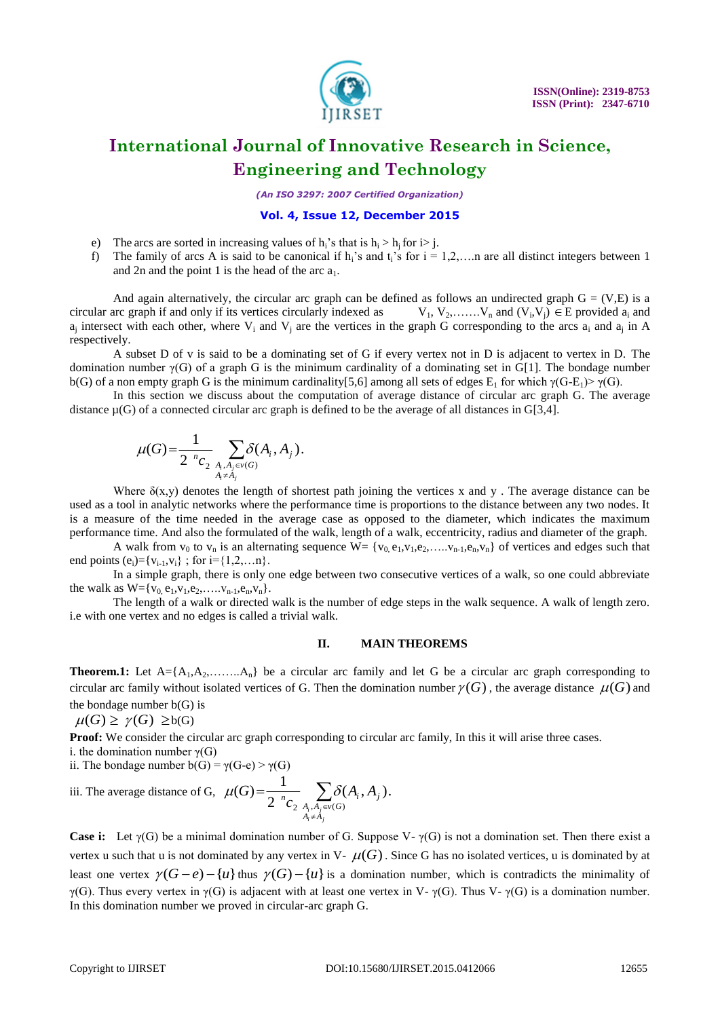

*(An ISO 3297: 2007 Certified Organization)*

#### **Vol. 4, Issue 12, December 2015**

- e) The arcs are sorted in increasing values of  $h_i$ 's that is  $h_i > h_i$  for  $i > j$ .
- f) The family of arcs A is said to be canonical if  $h_i$ 's and  $t_i$ 's for  $i = 1,2,...$  are all distinct integers between 1 and 2n and the point 1 is the head of the arc  $a_1$ .

And again alternatively, the circular arc graph can be defined as follows an undirected graph  $G = (V,E)$  is a circular arc graph if and only if its vertices circularly indexed as  $V_1, V_2, \ldots, V_n$  and  $(V_i, V_j) \in E$  provided  $a_i$  and  $a_j$  intersect with each other, where  $V_i$  and  $V_j$  are the vertices in the graph G corresponding to the arcs  $a_i$  and  $a_j$  in A respectively.

A subset D of v is said to be a dominating set of G if every vertex not in D is adjacent to vertex in D. The domination number  $\gamma(G)$  of a graph G is the minimum cardinality of a dominating set in G[1]. The bondage number b(G) of a non empty graph G is the minimum cardinality[5,6] among all sets of edges  $E_1$  for which  $\gamma(G-E_1) > \gamma(G)$ .

In this section we discuss about the computation of average distance of circular arc graph G. The average distance  $\mu(G)$  of a connected circular arc graph is defined to be the average of all distances in G[3,4].

$$
\mu(G) = \frac{1}{2^{n} c_2} \sum_{\substack{A_i, A_j \in V(G) \\ A_i \neq A_j}} \delta(A_i, A_j).
$$

Where  $\delta(x,y)$  denotes the length of shortest path joining the vertices x and y. The average distance can be used as a tool in analytic networks where the performance time is proportions to the distance between any two nodes. It is a measure of the time needed in the average case as opposed to the diameter, which indicates the maximum performance time. And also the formulated of the walk, length of a walk, eccentricity, radius and diameter of the graph.

A walk from  $v_0$  to  $v_n$  is an alternating sequence  $W = \{v_0, e_1, v_1, e_2, \ldots, v_{n-1}, e_n, v_n\}$  of vertices and edges such that end points  $(e_i) = \{v_{i-1}, v_i\}$ ; for  $i = \{1, 2, \ldots n\}$ .

In a simple graph, there is only one edge between two consecutive vertices of a walk, so one could abbreviate the walk as  $W = \{v_0, e_1, v_1, e_2, \ldots, v_{n-1}, e_n, v_n\}.$ 

The length of a walk or directed walk is the number of edge steps in the walk sequence. A walk of length zero. i.e with one vertex and no edges is called a trivial walk.

#### **II. MAIN THEOREMS**

**Theorem.1:** Let  $A = \{A_1, A_2, \ldots, A_n\}$  be a circular arc family and let G be a circular arc graph corresponding to circular arc family without isolated vertices of G. Then the domination number  $\gamma(G)$ , the average distance  $\mu(G)$  and the bondage number  $b(G)$  is

 $\mu(G) \geq \gamma(G) \geq b(G)$ 

**Proof:** We consider the circular arc graph corresponding to circular arc family, In this it will arise three cases.

i. the domination number  $\gamma(G)$ 

ii. The bondage number  $b(G) = \gamma(G-e) > \gamma(G)$ iii. The average distance of G,  $\mu(G) = \frac{1}{2 \pi r_0}$   $\sum$  $\neq$  $\in$  $=$ *i j*  $A_i, A_j$ <br>  $A_i \neq A$  $\frac{A}{\sigma} \sum_{A_i, A_i \in v(G)} \delta(A_i, A_j)$ *G* 2  $A_i, A_j \in V(G)$  $(A_i, A_i).$ 2  $\mu(G) = \frac{1}{2 \pi} \sum \delta$ 

**Case i:** Let γ(G) be a minimal domination number of G. Suppose V- γ(G) is not a domination set. Then there exist a vertex u such that u is not dominated by any vertex in V-  $\mu(G)$ . Since G has no isolated vertices, u is dominated by at least one vertex  $\gamma(G-e) - \{u\}$  thus  $\gamma(G) - \{u\}$  is a domination number, which is contradicts the minimality of γ(G). Thus every vertex in γ(G) is adjacent with at least one vertex in V- γ(G). Thus V- γ(G) is a domination number. In this domination number we proved in circular-arc graph G.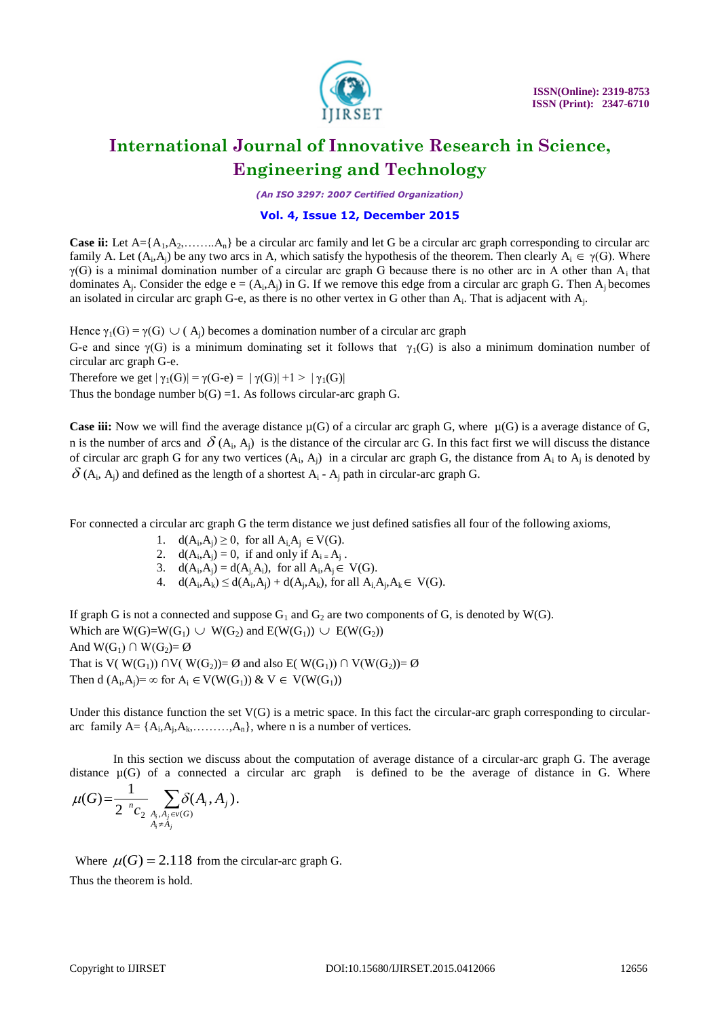

*(An ISO 3297: 2007 Certified Organization)*

### **Vol. 4, Issue 12, December 2015**

**Case ii:** Let  $A = \{A_1, A_2, \ldots, A_n\}$  be a circular arc family and let G be a circular arc graph corresponding to circular arc family A. Let  $(A_i, A_j)$  be any two arcs in A, which satisfy the hypothesis of the theorem. Then clearly  $A_i \in \gamma(G)$ . Where  $\gamma(G)$  is a minimal domination number of a circular arc graph G because there is no other arc in A other than  $A_i$  that dominates  $A_j$ . Consider the edge  $e = (A_i, A_j)$  in G. If we remove this edge from a circular arc graph G. Then  $A_j$  becomes an isolated in circular arc graph G-e, as there is no other vertex in G other than  $A_i$ . That is adjacent with  $A_j$ .

Hence  $\gamma_1(G) = \gamma(G) \cup (A_j)$  becomes a domination number of a circular arc graph

G-e and since  $\gamma(G)$  is a minimum dominating set it follows that  $\gamma_1(G)$  is also a minimum domination number of circular arc graph G-e.

Therefore we get  $|\gamma_1(G)| = \gamma(G-e) = |\gamma(G)| + 1 > |\gamma_1(G)|$ 

Thus the bondage number  $b(G) = 1$ . As follows circular-arc graph G.

**Case iii:** Now we will find the average distance  $\mu(G)$  of a circular arc graph G, where  $\mu(G)$  is a average distance of G, n is the number of arcs and  $\delta$  (A<sub>i</sub>, A<sub>j</sub>) is the distance of the circular arc G. In this fact first we will discuss the distance of circular arc graph G for any two vertices  $(A_i, A_j)$  in a circular arc graph G, the distance from  $A_i$  to  $A_j$  is denoted by  $\delta$  (A<sub>i</sub>, A<sub>j</sub>) and defined as the length of a shortest A<sub>i</sub> - A<sub>j</sub> path in circular-arc graph G.

For connected a circular arc graph G the term distance we just defined satisfies all four of the following axioms,

- 1.  $d(A_i, A_j) \ge 0$ , for all  $A_i, A_j \in V(G)$ .
- 2.  $d(A_i, A_j) = 0$ , if and only if  $A_i = A_j$ .
- 3.  $d(A_i, A_j) = d(A_j, A_i)$ , for all  $A_i, A_j \in V(G)$ .
- 4.  $d(A_i, A_k) \leq d(A_i, A_j) + d(A_j, A_k)$ , for all  $A_i, A_j, A_k \in V(G)$ .

If graph G is not a connected and suppose  $G_1$  and  $G_2$  are two components of G, is denoted by W(G). Which are  $W(G) = W(G_1) \cup W(G_2)$  and  $E(W(G_1)) \cup E(W(G_2))$ And  $W(G_1) \cap W(G_2) = \emptyset$ That is V( W(G<sub>1</sub>)) ∩V( W(G<sub>2</sub>))= Ø and also E( W(G<sub>1</sub>)) ∩ V(W(G<sub>2</sub>))= Ø Then d  $(A_i, A_j) = \infty$  for  $A_i \in V(W(G_1))$  &  $V \in V(W(G_1))$ 

Under this distance function the set  $V(G)$  is a metric space. In this fact the circular-arc graph corresponding to circulararc family  $A = \{A_i, A_j, A_k, \ldots, A_n\}$ , where n is a number of vertices.

In this section we discuss about the computation of average distance of a circular-arc graph G. The average distance  $\mu(G)$  of a connected a circular arc graph is defined to be the average of distance in G. Where

$$
\mu(G) = \frac{1}{2^{n} c_2} \sum_{\substack{A_i, A_j \in V(G) \\ A_i \neq A_j}} \delta(A_i, A_j).
$$

Where  $\mu(G) = 2.118$  from the circular-arc graph G. Thus the theorem is hold.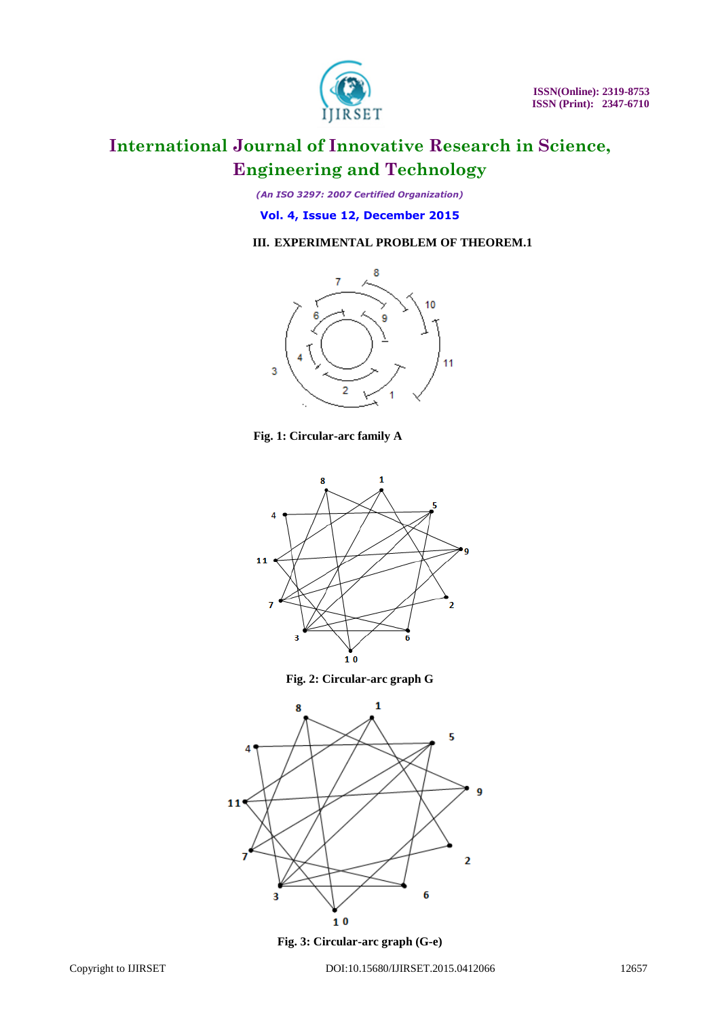

*(An ISO 3297: 2007 Certified Organization)*

**Vol. 4, Issue 12, December 2015**

### **III. EXPERIMENTAL PROBLEM OF THEOREM.1**



**Fig. 1: Circular-arc family A**



**Fig. 2: Circular-arc graph G**



**Fig. 3: Circular-arc graph (G-e)**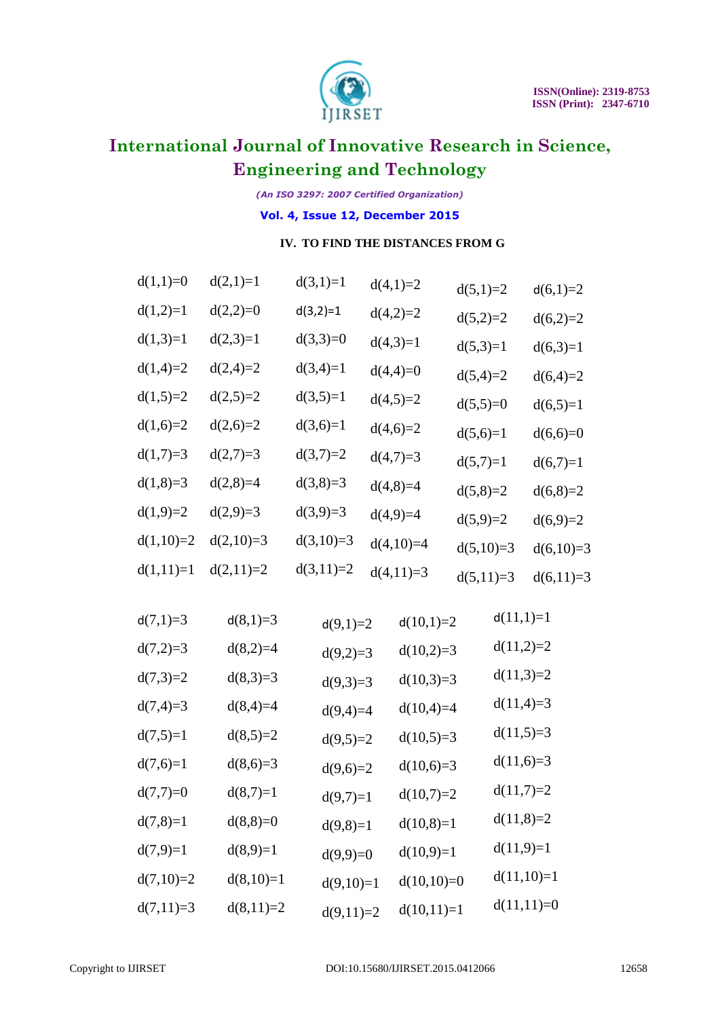

*(An ISO 3297: 2007 Certified Organization)*

**Vol. 4, Issue 12, December 2015**

### **IV. TO FIND THE DISTANCES FROM G**

| $d(2,1)=1$  | $d(3,1)=1$  | $d(4,1)=2$  | $d(5,1)=2$                                                                                                                                               | $d(6,1)=2$                                                                                                                                                                                                                                                             |
|-------------|-------------|-------------|----------------------------------------------------------------------------------------------------------------------------------------------------------|------------------------------------------------------------------------------------------------------------------------------------------------------------------------------------------------------------------------------------------------------------------------|
| $d(2,2)=0$  | $d(3,2)=1$  | $d(4,2)=2$  |                                                                                                                                                          | $d(6,2)=2$                                                                                                                                                                                                                                                             |
| $d(2,3)=1$  | $d(3,3)=0$  | $d(4,3)=1$  |                                                                                                                                                          | $d(6,3)=1$                                                                                                                                                                                                                                                             |
| $d(2,4)=2$  | $d(3,4)=1$  | $d(4,4)=0$  |                                                                                                                                                          | $d(6,4)=2$                                                                                                                                                                                                                                                             |
| $d(2,5)=2$  | $d(3,5)=1$  | $d(4,5)=2$  |                                                                                                                                                          | $d(6,5)=1$                                                                                                                                                                                                                                                             |
| $d(2,6)=2$  | $d(3,6)=1$  | $d(4,6)=2$  | $d(5,6)=1$                                                                                                                                               | $d(6,6)=0$                                                                                                                                                                                                                                                             |
| $d(2,7)=3$  | $d(3,7)=2$  | $d(4,7)=3$  |                                                                                                                                                          | $d(6,7)=1$                                                                                                                                                                                                                                                             |
| $d(2,8)=4$  | $d(3,8)=3$  | $d(4,8)=4$  | $d(5,8)=2$                                                                                                                                               | $d(6,8)=2$                                                                                                                                                                                                                                                             |
| $d(2,9)=3$  | $d(3,9)=3$  | $d(4,9)=4$  |                                                                                                                                                          | $d(6,9)=2$                                                                                                                                                                                                                                                             |
| $d(2,10)=3$ | $d(3,10)=3$ | $d(4,10)=4$ |                                                                                                                                                          | $d(6,10)=3$                                                                                                                                                                                                                                                            |
| $d(2,11)=2$ | $d(3,11)=2$ | $d(4,11)=3$ | $d(5,11)=3$                                                                                                                                              | $d(6,11)=3$                                                                                                                                                                                                                                                            |
| $d(8,1)=3$  |             |             |                                                                                                                                                          | $d(11,1)=1$                                                                                                                                                                                                                                                            |
| $d(8,2)=4$  |             |             |                                                                                                                                                          | $d(11,2)=2$                                                                                                                                                                                                                                                            |
| $d(8,3)=3$  |             |             |                                                                                                                                                          | $d(11,3)=2$                                                                                                                                                                                                                                                            |
| $d(8,4)=4$  |             |             |                                                                                                                                                          | $d(11,4)=3$                                                                                                                                                                                                                                                            |
| $d(8,5)=2$  |             |             |                                                                                                                                                          | $d(11,5)=3$                                                                                                                                                                                                                                                            |
| $d(8,6)=3$  |             |             |                                                                                                                                                          | $d(11,6)=3$                                                                                                                                                                                                                                                            |
| $d(8,7)=1$  |             |             |                                                                                                                                                          | $d(11,7)=2$                                                                                                                                                                                                                                                            |
| $d(8,8)=0$  |             |             |                                                                                                                                                          | $d(11,8)=2$                                                                                                                                                                                                                                                            |
| $d(8,9)=1$  |             |             |                                                                                                                                                          | $d(11,9)=1$                                                                                                                                                                                                                                                            |
| $d(8,10)=1$ |             |             |                                                                                                                                                          | $d(11,10)=1$                                                                                                                                                                                                                                                           |
| $d(8,11)=2$ |             |             |                                                                                                                                                          | $d(11,11)=0$                                                                                                                                                                                                                                                           |
|             |             |             | $d(9,1)=2$<br>$d(9,2)=3$<br>$d(9,3)=3$<br>$d(9,4)=4$<br>$d(9,5)=2$<br>$d(9,6)=2$<br>$d(9,7)=1$<br>$d(9,8)=1$<br>$d(9,9)=0$<br>$d(9,10)=1$<br>$d(9,11)=2$ | $d(5,2)=2$<br>$d(5,3)=1$<br>$d(5,4)=2$<br>$d(5,5)=0$<br>$d(5,7)=1$<br>$d(5,9)=2$<br>$d(5,10)=3$<br>$d(10,1)=2$<br>$d(10,2)=3$<br>$d(10,3)=3$<br>$d(10,4)=4$<br>$d(10,5)=3$<br>$d(10,6)=3$<br>$d(10,7)=2$<br>$d(10,8)=1$<br>$d(10,9)=1$<br>$d(10,10)=0$<br>$d(10,11)=1$ |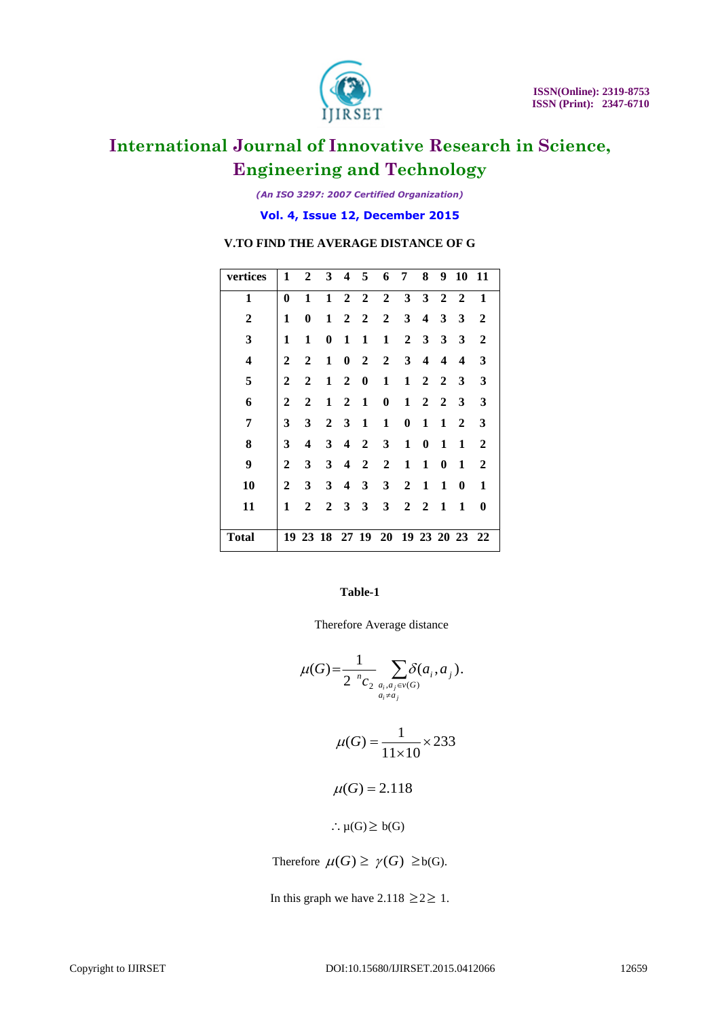

*(An ISO 3297: 2007 Certified Organization)*

**Vol. 4, Issue 12, December 2015**

| vertices                | 1            | 2              |              |                         | 3 4 5          | 6 7                              |                | 8                       | 9                       | 10 11            |                  |
|-------------------------|--------------|----------------|--------------|-------------------------|----------------|----------------------------------|----------------|-------------------------|-------------------------|------------------|------------------|
| $\mathbf{1}$            | $\bf{0}$     | 1              | $\mathbf{1}$ |                         | $2\quad 2$     | $\overline{2}$                   | $3^{\circ}$    | 3 <sup>1</sup>          | $2\quad 2$              |                  | 1                |
| $\boldsymbol{2}$        | 1            | 0              | 1            | 2                       | $\overline{2}$ | $\mathbf 2$                      | 3              | $\overline{\mathbf{4}}$ | 3                       | 3                | $\mathbf{2}$     |
| 3                       | 1            | 1              | $\bf{0}$     | 1                       | 1              | 1                                |                | $2 \quad 3$             | $\mathbf{3}$            | 3                | $\boldsymbol{2}$ |
| $\overline{\mathbf{4}}$ | $\mathbf{2}$ | $\mathbf{2}$   | 1            | $\bf{0}$                | $\overline{2}$ | $\mathbf{2}$                     | 3 <sup>1</sup> | $\overline{\mathbf{4}}$ | $\overline{\mathbf{4}}$ | $\boldsymbol{4}$ | 3                |
| 5                       | 2            | $\overline{2}$ | 1            | $\overline{2}$          | $\bf{0}$       | 1                                | 1              | $\overline{2}$          | $\overline{2}$          | 3                | 3                |
| 6                       | 2            | 2              | 1            | 2                       | 1              | 0                                | 1              | $\overline{2}$          | $\mathbf{2}$            | 3                | 3                |
| 7                       | 3            | 3              | $\mathbf{2}$ | 3                       | 1              | 1                                | $\bf{0}$       | 1                       | 1                       | 2                | 3                |
| 8                       | 3            | 4              | 3            | $\overline{\mathbf{4}}$ | $\mathbf{2}$   | 3                                | 1              | $\bf{0}$                | 1                       | 1                | $\overline{2}$   |
| 9                       | $\mathbf{2}$ | 3              | $\mathbf{3}$ | 4                       | $\overline{2}$ | $\overline{2}$                   | 1              | 1                       | 0                       | 1                | $\mathbf{2}$     |
| 10                      | $\mathbf{2}$ | 3              | 3            | 4                       | 3              | 3                                | $\overline{2}$ | 1                       | 1                       | $\bf{0}$         | 1                |
| 11                      | 1            | $\overline{2}$ | $\mathbf{2}$ | 3                       | 3              | 3                                | $\mathbf{2}$   | $\overline{2}$          | 1                       | 1                | 0                |
|                         |              |                |              |                         |                |                                  |                |                         |                         |                  |                  |
| <b>Total</b>            |              |                |              |                         |                | 19 23 18 27 19 20 19 23 20 23 22 |                |                         |                         |                  |                  |

### **V.TO FIND THE AVERAGE DISTANCE OF G**

### **Table-1**

Therefore Average distance

$$
\mu(G) = \frac{1}{2 \sum_{a_i, a_j \in \mathcal{V}(G)} a_{i \neq a_j}} \sum_{a_i \neq a_j} \delta(a_i, a_j).
$$
  

$$
\mu(G) = \frac{1}{11 \times 10} \times 233
$$
  

$$
\mu(G) = 2.118
$$
  

$$
\therefore \mu(G) \geq b(G)
$$

Therefore  $\mu(G) \geq \gamma(G) \geq b(G)$ .

In this graph we have  $2.118 \geq 2 \geq 1$ .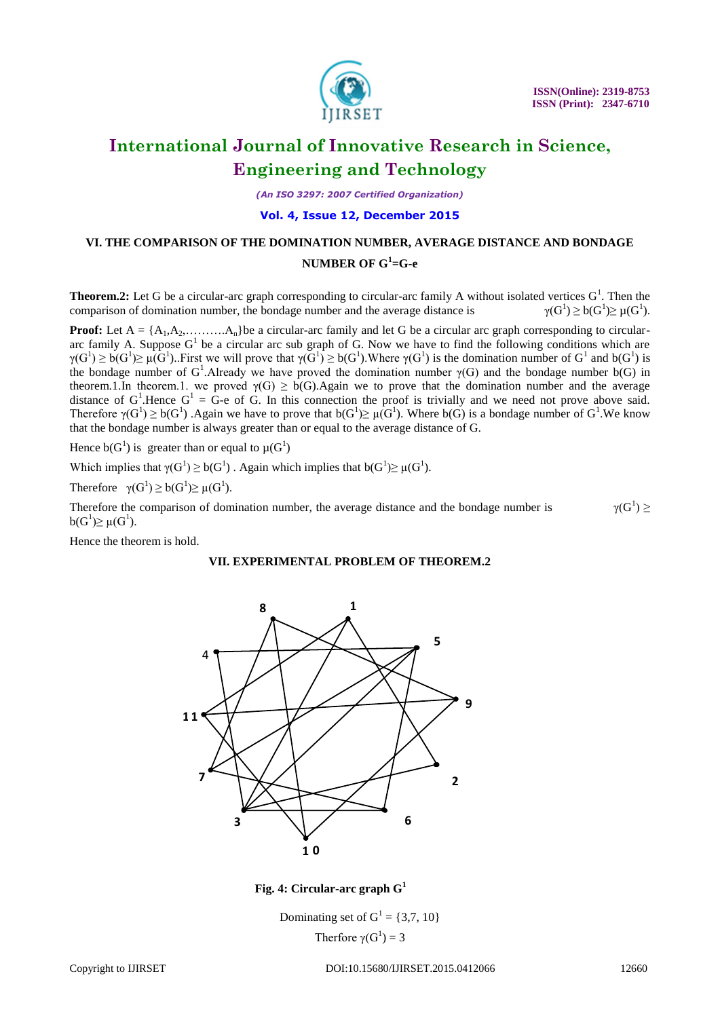

*(An ISO 3297: 2007 Certified Organization)*

### **Vol. 4, Issue 12, December 2015**

### **VI. THE COMPARISON OF THE DOMINATION NUMBER, AVERAGE DISTANCE AND BONDAGE**

### **NUMBER OF G<sup>1</sup> =G-e**

**Theorem.2:** Let G be a circular-arc graph corresponding to circular-arc family A without isolated vertices  $G^1$ . Then the comparison of domination number, the bondage number and the average distance is  $\geq b(G^{1})\geq \mu(G^{1}).$ 

**Proof:** Let  $A = \{A_1, A_2, \ldots, A_n\}$  be a circular-arc family and let G be a circular arc graph corresponding to circulararc family A. Suppose  $G<sup>1</sup>$  be a circular arc sub graph of G. Now we have to find the following conditions which are  $\gamma(G^1) \ge b(G^1) \ge \mu(G^1)$ . First we will prove that  $\gamma(G^1) \ge b(G^1)$ . Where  $\gamma(G^1)$  is the domination number of  $G^1$  and  $b(G^1)$  is the bondage number of G<sup>1</sup>. Already we have proved the domination number  $\gamma(G)$  and the bondage number b(G) in theorem.1.In theorem.1. we proved  $\gamma(G) \geq b(G)$ . Again we to prove that the domination number and the average distance of  $G^1$ . Hence  $G^1 = G$ -e of G. In this connection the proof is trivially and we need not prove above said. Therefore  $\gamma(G^1) \ge b(G^1)$ . Again we have to prove that  $b(G^1) \ge \mu(G^1)$ . Where  $b(G)$  is a bondage number of  $G^1$ . We know that the bondage number is always greater than or equal to the average distance of G.

Hence  $b(G^1)$  is greater than or equal to  $\mu(G^1)$ 

Which implies that  $\gamma(G^1) \geq b(G^1)$ . Again which implies that  $b(G^1) \geq \mu(G^1)$ .

Therefore  $\gamma(G^1) \geq b(G^1) \geq \mu(G^1)$ .

Therefore the comparison of domination number, the average distance and the bondage number is  $\binom{1}{ } \geq$  $b(G^1)\geq \mu(G^1).$ 

Hence the theorem is hold.

### **VII. EXPERIMENTAL PROBLEM OF THEOREM.2**



**0 Fig. 4: Circular-arc graph G<sup>1</sup>**

Dominating set of  $G^1 = \{3, 7, 10\}$ Therfore  $\gamma(G^1) = 3$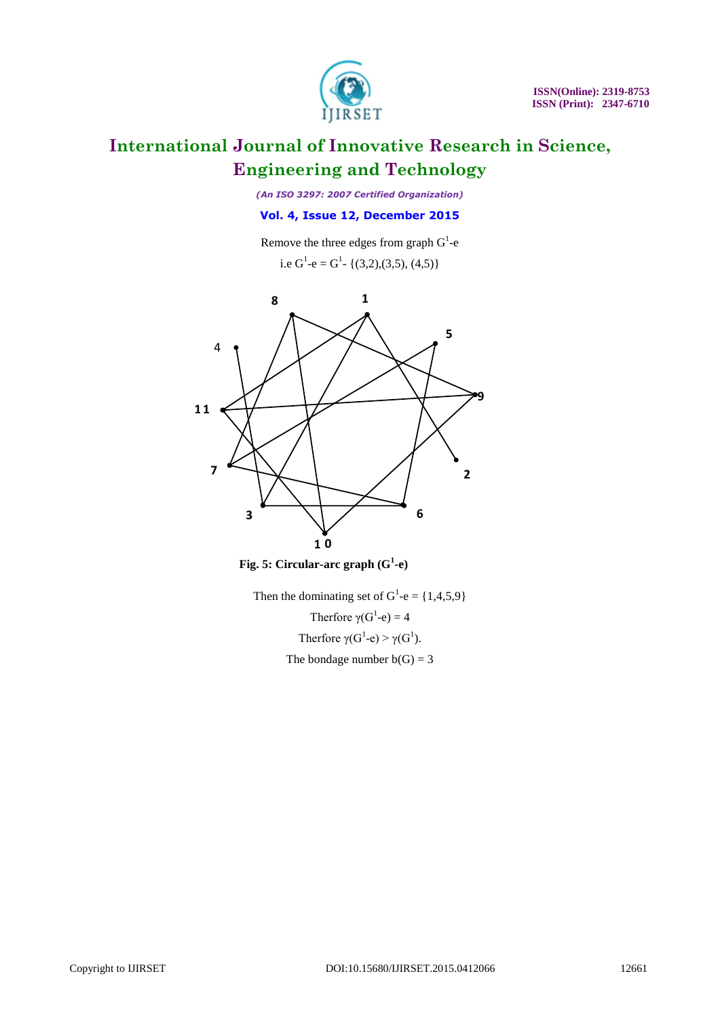

*(An ISO 3297: 2007 Certified Organization)*

### **Vol. 4, Issue 12, December 2015**

Remove the three edges from graph  $G^1$ -e

i.e 
$$
G^1
$$
-e =  $G^1$ - {(3,2),(3,5), (4,5)}



**0 Fig. 5: Circular-arc graph (G<sup>1</sup> -e)**

Then the dominating set of  $G^1$ -e = {1,4,5,9} Therfore  $\gamma(G^1-e) = 4$ Therfore  $\gamma(G^1 - e) > \gamma(G^1)$ . The bondage number  $b(G) = 3$ **0**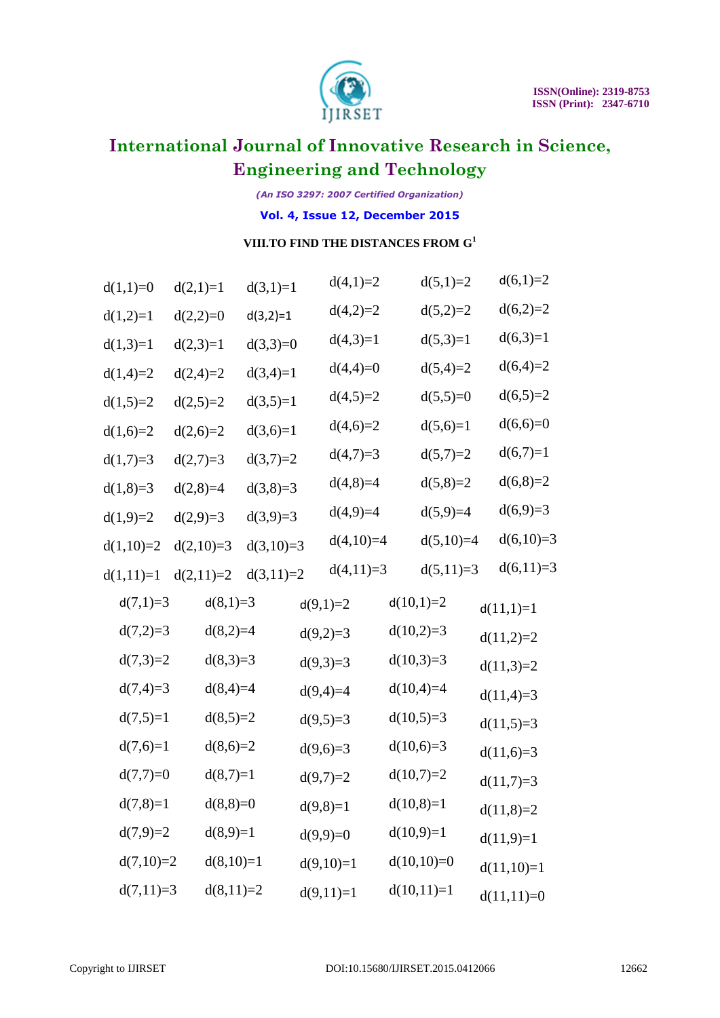

*(An ISO 3297: 2007 Certified Organization)*

### **Vol. 4, Issue 12, December 2015**

### **VIII.TO FIND THE DISTANCES FROM G<sup>1</sup>**

| $d(1,1)=0$  | $d(2,1)=1$  | $d(3,1)=1$  |            | $d(4,1)=2$  | $d(5,1)=2$   | $d(6,1)=2$   |
|-------------|-------------|-------------|------------|-------------|--------------|--------------|
| $d(1,2)=1$  | $d(2,2)=0$  | $d(3,2)=1$  |            | $d(4,2)=2$  | $d(5,2)=2$   | $d(6,2)=2$   |
| $d(1,3)=1$  | $d(2,3)=1$  | $d(3,3)=0$  |            | $d(4,3)=1$  | $d(5,3)=1$   | $d(6,3)=1$   |
| $d(1,4)=2$  | $d(2,4)=2$  | $d(3,4)=1$  |            | $d(4,4)=0$  | $d(5,4)=2$   | $d(6,4)=2$   |
| $d(1,5)=2$  | $d(2,5)=2$  | $d(3,5)=1$  |            | $d(4,5)=2$  | $d(5,5)=0$   | $d(6,5)=2$   |
| $d(1,6)=2$  | $d(2,6)=2$  | $d(3,6)=1$  |            | $d(4,6)=2$  | $d(5,6)=1$   | $d(6,6)=0$   |
| $d(1,7)=3$  | $d(2,7)=3$  | $d(3,7)=2$  |            | $d(4,7)=3$  | $d(5,7)=2$   | $d(6,7)=1$   |
| $d(1,8)=3$  | $d(2,8)=4$  | $d(3,8)=3$  |            | $d(4,8)=4$  | $d(5,8)=2$   | $d(6,8)=2$   |
| $d(1,9)=2$  | $d(2,9)=3$  | $d(3,9)=3$  |            | $d(4,9)=4$  | $d(5,9)=4$   | $d(6,9)=3$   |
| $d(1,10)=2$ | $d(2,10)=3$ | $d(3,10)=3$ |            | $d(4,10)=4$ | $d(5,10)=4$  | $d(6,10)=3$  |
| $d(1,11)=1$ | $d(2,11)=2$ | $d(3,11)=2$ |            | $d(4,11)=3$ | $d(5,11)=3$  | $d(6,11)=3$  |
| $d(7,1)=3$  | $d(8,1)=3$  |             | $d(9,1)=2$ |             | $d(10,1)=2$  | $d(11,1)=1$  |
| $d(7,2)=3$  | $d(8,2)=4$  |             | $d(9,2)=3$ |             | $d(10,2)=3$  | $d(11,2)=2$  |
| $d(7,3)=2$  | $d(8,3)=3$  |             | $d(9,3)=3$ |             | $d(10,3)=3$  | $d(11,3)=2$  |
| $d(7,4)=3$  | $d(8,4)=4$  |             | $d(9,4)=4$ |             | $d(10,4)=4$  | $d(11,4)=3$  |
| $d(7,5)=1$  | $d(8,5)=2$  |             | $d(9,5)=3$ |             | $d(10,5)=3$  | $d(11,5)=3$  |
| $d(7,6)=1$  | $d(8,6)=2$  |             | $d(9,6)=3$ |             | $d(10,6)=3$  | $d(11,6)=3$  |
| $d(7,7)=0$  | $d(8,7)=1$  |             | $d(9,7)=2$ |             | $d(10,7)=2$  | $d(11,7)=3$  |
| $d(7,8)=1$  | $d(8,8)=0$  |             | $d(9,8)=1$ |             | $d(10,8)=1$  | $d(11,8)=2$  |
| $d(7,9)=2$  | $d(8,9)=1$  |             | $d(9,9)=0$ |             | $d(10,9)=1$  | $d(11,9)=1$  |
| $d(7,10)=2$ | $d(8,10)=1$ |             |            | $d(9,10)=1$ | $d(10,10)=0$ | $d(11,10)=1$ |
| $d(7,11)=3$ | $d(8,11)=2$ |             |            | $d(9,11)=1$ | $d(10,11)=1$ | $d(11,11)=0$ |